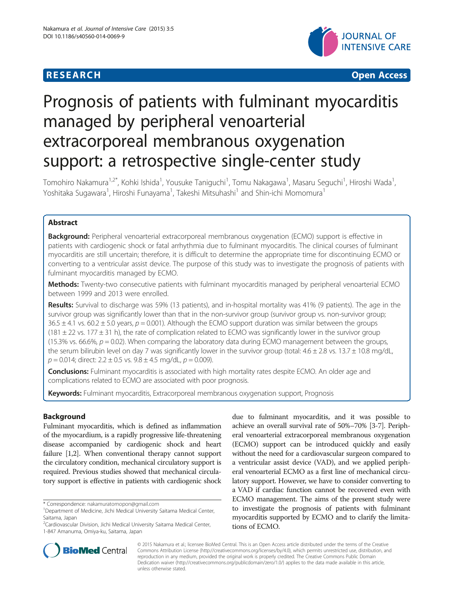

# Prognosis of patients with fulminant myocarditis managed by peripheral venoarterial extracorporeal membranous oxygenation support: a retrospective single-center study

Tomohiro Nakamura<sup>1,2\*</sup>, Kohki Ishida<sup>1</sup>, Yousuke Taniguchi<sup>1</sup>, Tomu Nakagawa<sup>1</sup>, Masaru Seguchi<sup>1</sup>, Hiroshi Wada<sup>1</sup> , Yoshitaka Sugawara<sup>1</sup>, Hiroshi Funayama<sup>1</sup>, Takeshi Mitsuhashi<sup>1</sup> and Shin-ichi Momomura<sup>1</sup>

# Abstract

Background: Peripheral venoarterial extracorporeal membranous oxygenation (ECMO) support is effective in patients with cardiogenic shock or fatal arrhythmia due to fulminant myocarditis. The clinical courses of fulminant myocarditis are still uncertain; therefore, it is difficult to determine the appropriate time for discontinuing ECMO or converting to a ventricular assist device. The purpose of this study was to investigate the prognosis of patients with fulminant myocarditis managed by ECMO.

Methods: Twenty-two consecutive patients with fulminant myocarditis managed by peripheral venoarterial ECMO between 1999 and 2013 were enrolled.

Results: Survival to discharge was 59% (13 patients), and in-hospital mortality was 41% (9 patients). The age in the survivor group was significantly lower than that in the non-survivor group (survivor group vs. non-survivor group;  $36.5 \pm 4.1$  vs. 60.2  $\pm$  5.0 years,  $p = 0.001$ ). Although the ECMO support duration was similar between the groups  $(181 \pm 22 \text{ vs. } 177 \pm 31 \text{ h})$ , the rate of complication related to ECMO was significantly lower in the survivor group (15.3% vs. 66.6%,  $p = 0.02$ ). When comparing the laboratory data during ECMO management between the groups, the serum bilirubin level on day 7 was significantly lower in the survivor group (total: 4.6 ± 2.8 vs. 13.7 ± 10.8 mg/dL,  $p = 0.014$ ; direct:  $2.2 \pm 0.5$  vs.  $9.8 \pm 4.5$  mg/dL,  $p = 0.009$ ).

**Conclusions:** Fulminant myocarditis is associated with high mortality rates despite ECMO. An older age and complications related to ECMO are associated with poor prognosis.

Keywords: Fulminant myocarditis, Extracorporeal membranous oxygenation support, Prognosis

# Background

Fulminant myocarditis, which is defined as inflammation of the myocardium, is a rapidly progressive life-threatening disease accompanied by cardiogenic shock and heart failure [\[1,2](#page-4-0)]. When conventional therapy cannot support the circulatory condition, mechanical circulatory support is required. Previous studies showed that mechanical circulatory support is effective in patients with cardiogenic shock

\* Correspondence: [nakamuratomopon@gmail.com](mailto:nakamuratomopon@gmail.com) <sup>1</sup>

due to fulminant myocarditis, and it was possible to achieve an overall survival rate of 50%–70% [[3-7\]](#page-4-0). Peripheral venoarterial extracorporeal membranous oxygenation (ECMO) support can be introduced quickly and easily without the need for a cardiovascular surgeon compared to a ventricular assist device (VAD), and we applied peripheral venoarterial ECMO as a first line of mechanical circulatory support. However, we have to consider converting to a VAD if cardiac function cannot be recovered even with ECMO management. The aims of the present study were to investigate the prognosis of patients with fulminant myocarditis supported by ECMO and to clarify the limitations of ECMO.



© 2015 Nakamura et al.; licensee BioMed Central. This is an Open Access article distributed under the terms of the Creative Commons Attribution License [\(http://creativecommons.org/licenses/by/4.0\)](http://creativecommons.org/licenses/by/4.0), which permits unrestricted use, distribution, and reproduction in any medium, provided the original work is properly credited. The Creative Commons Public Domain Dedication waiver [\(http://creativecommons.org/publicdomain/zero/1.0/](http://creativecommons.org/publicdomain/zero/1.0/)) applies to the data made available in this article, unless otherwise stated.

Department of Medicine, Jichi Medical University Saitama Medical Center, Saitama, Japan

<sup>&</sup>lt;sup>2</sup>Cardiovascular Division, Jichi Medical University Saitama Medical Center, 1-847 Amanuma, Omiya-ku, Saitama, Japan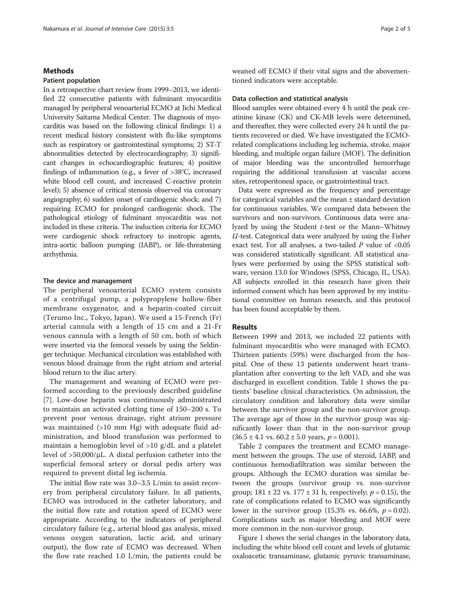# **Methods**

### Patient population

In a retrospective chart review from 1999–2013, we identified 22 consecutive patients with fulminant myocarditis managed by peripheral venoarterial ECMO at Jichi Medical University Saitama Medical Center. The diagnosis of myocarditis was based on the following clinical findings: 1) a recent medical history consistent with flu-like symptoms such as respiratory or gastrointestinal symptoms; 2) ST-T abnormalities detected by electrocardiography; 3) significant changes in echocardiographic features; 4) positive findings of inflammation (e.g., a fever of >38°C, increased white blood cell count, and increased C-reactive protein level); 5) absence of critical stenosis observed via coronary angiography; 6) sudden onset of cardiogenic shock; and 7) requiring ECMO for prolonged cardiogenic shock. The pathological etiology of fulminant myocarditis was not included in these criteria. The induction criteria for ECMO were cardiogenic shock refractory to inotropic agents, intra-aortic balloon pumping (IABP), or life-threatening arrhythmia.

# The device and management

The peripheral venoarterial ECMO system consists of a centrifugal pump, a polypropylene hollow-fiber membrane oxygenator, and a heparin-coated circuit (Terumo Inc., Tokyo, Japan). We used a 15-French (Fr) arterial cannula with a length of 15 cm and a 21-Fr venous cannula with a length of 50 cm, both of which were inserted via the femoral vessels by using the Seldinger technique. Mechanical circulation was established with venous blood drainage from the right atrium and arterial blood return to the iliac artery.

The management and weaning of ECMO were performed according to the previously described guideline [[7\]](#page-4-0). Low-dose heparin was continuously administrated to maintain an activated clotting time of 150–200 s. To prevent poor venous drainage, right atrium pressure was maintained (>10 mm Hg) with adequate fluid administration, and blood transfusion was performed to maintain a hemoglobin level of >10 g/dL and a platelet level of  $>50,000/\mu L$ . A distal perfusion catheter into the superficial femoral artery or dorsal pedis artery was required to prevent distal leg ischemia.

The initial flow rate was 3.0–3.5 L/min to assist recovery from peripheral circulatory failure. In all patients, ECMO was introduced in the catheter laboratory, and the initial flow rate and rotation speed of ECMO were appropriate. According to the indicators of peripheral circulatory failure (e.g., arterial blood gas analysis, mixed venous oxygen saturation, lactic acid, and urinary output), the flow rate of ECMO was decreased. When the flow rate reached 1.0 L/min, the patients could be weaned off ECMO if their vital signs and the abovementioned indicators were acceptable.

#### Data collection and statistical analysis

Blood samples were obtained every 4 h until the peak creatinine kinase (CK) and CK-MB levels were determined, and thereafter, they were collected every 24 h until the patients recovered or died. We have investigated the ECMOrelated complications including leg ischemia, stroke, major bleeding, and multiple organ failure (MOF). The definition of major bleeding was the uncontrolled hemorrhage requiring the additional transfusion at vascular access sites, retroperitoneal space, or gastrointestinal tract.

Data were expressed as the frequency and percentage for categorical variables and the mean ± standard deviation for continuous variables. We compared data between the survivors and non-survivors. Continuous data were analyzed by using the Student t-test or the Mann–Whitney U-test. Categorical data were analyzed by using the Fisher exact test. For all analyses, a two-tailed  $P$  value of <0.05 was considered statistically significant. All statistical analyses were performed by using the SPSS statistical software, version 13.0 for Windows (SPSS, Chicago, IL, USA). All subjects enrolled in this research have given their informed consent which has been approved by my institutional committee on human research, and this protocol has been found acceptable by them.

# Results

Between 1999 and 2013, we included 22 patients with fulminant myocarditis who were managed with ECMO. Thirteen patients (59%) were discharged from the hospital. One of these 13 patients underwent heart transplantation after converting to the left VAD, and she was discharged in excellent condition. Table [1](#page-2-0) shows the patients' baseline clinical characteristics. On admission, the circulatory condition and laboratory data were similar between the survivor group and the non-survivor group. The average age of those in the survivor group was significantly lower than that in the non-survivor group  $(36.5 \pm 4.1 \text{ vs. } 60.2 \pm 5.0 \text{ years}, p = 0.001).$ 

Table [2](#page-2-0) compares the treatment and ECMO management between the groups. The use of steroid, IABP, and continuous hemodiafiltration was similar between the groups. Although the ECMO duration was similar between the groups (survivor group vs. non-survivor group;  $181 \pm 22$  vs.  $177 \pm 31$  h, respectively;  $p = 0.15$ ), the rate of complications related to ECMO was significantly lower in the survivor group (15.3% vs. 66.6%,  $p = 0.02$ ). Complications such as major bleeding and MOF were more common in the non-survivor group.

Figure [1](#page-4-0) shows the serial changes in the laboratory data, including the white blood cell count and levels of glutamic oxaloacetic transaminase, glutamic pyruvic transaminase,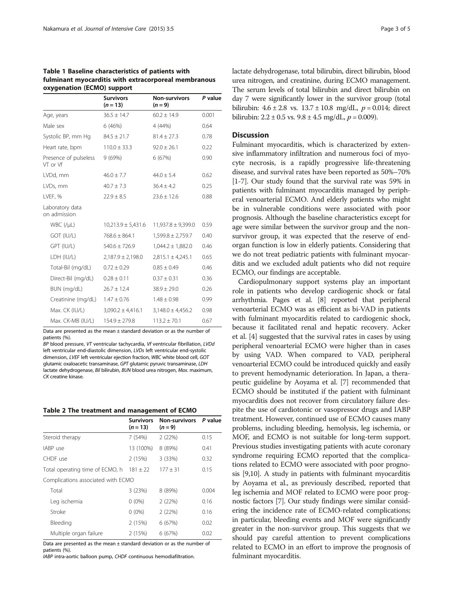<span id="page-2-0"></span>

| Table 1 Baseline characteristics of patients with    |
|------------------------------------------------------|
| fulminant myocarditis with extracorporeal membranous |
| oxygenation (ECMO) support                           |

|                                   | <b>Survivors</b><br>$(n = 13)$ | <b>Non-survivors</b><br>$(n = 9)$ | P value |
|-----------------------------------|--------------------------------|-----------------------------------|---------|
| Age, years                        | $36.5 \pm 14.7$                | $60.2 \pm 14.9$                   | 0.001   |
| Male sex                          | 6(46%)                         | 4 (44%)                           | 0.64    |
| Systolic BP, mm Hq                | $84.5 \pm 21.7$                | $81.4 \pm 27.3$                   | 0.78    |
| Heart rate, bpm                   | $110.0 \pm 33.3$               | $92.0 \pm 26.1$                   | 0.22    |
| Presence of pulseless<br>VT or Vf | 9 (69%)                        | 6 (67%)                           | 0.90    |
| LVDd, mm                          | $46.0 \pm 7.7$                 | $44.0 \pm 5.4$                    | 0.62    |
| LVDs, mm                          | $40.7 \pm 7.3$                 | $36.4 + 4.2$                      | 0.25    |
| LVEF, %                           | $22.9 \pm 8.5$                 | $23.6 \pm 12.6$                   | 0.88    |
| Laboratory data<br>on admission   |                                |                                   |         |
| $WBC$ (/ $\mu$ L)                 | $10,213.9 \pm 5,431.6$         | $11,937.8 \pm 9,399.0$            | 0.59    |
| GOT (IU/L)                        | $768.6 \pm 864.1$              | $1,599.8 \pm 2,759.7$             | 0.40    |
| GPT (IU/L)                        | $540.6 \pm 726.9$              | $1,044.2 \pm 1,882.0$             | 0.46    |
| LDH (IU/L)                        | $2,187.9 \pm 2,198.0$          | $2,815.1 \pm 4,245.1$             | 0.65    |
| Total-Bil (mg/dL)                 | $0.72 \pm 0.29$                | $0.85 \pm 0.49$                   | 0.46    |
| Direct-Bil (mg/dL)                | $0.28 \pm 0.11$                | $0.37 \pm 0.31$                   | 0.36    |
| BUN (mg/dL)                       | $26.7 \pm 12.4$                | $38.9 \pm 29.0$                   | 0.26    |
| Creatinine (mg/dL)                | $1.47 \pm 0.76$                | $1.48 \pm 0.98$                   | 0.99    |
| Max. CK (IU/L)                    | $3,090.2 \pm 4,416.1$          | $3,148.0 \pm 4,456.2$             | 0.98    |
| Max. CK-MB (IU/L)                 | $154.9 \pm 279.8$              | $113.2 \pm 70.1$                  | 0.67    |
|                                   |                                |                                   |         |

Data are presented as the mean  $\pm$  standard deviation or as the number of patients (%).

BP blood pressure, VT ventricular tachycardia, Vf ventricular fibrillation, LVDd left ventricular end-diastolic dimension, LVDs left ventricular end-systolic dimension, LVEF left ventricular ejection fraction, WBC white blood cell, GOT glutamic oxaloacetic transaminase, GPT glutamic pyruvic transaminase, LDH lactate dehydrogenase, Bil bilirubin, BUN blood urea nitrogen, Max. maximum, CK creatine kinase.

#### Table 2 The treatment and management of ECMO

|                                    | <b>Survivors</b><br>$(n = 13)$ | <b>Non-survivors</b><br>$(n=9)$ | P value |
|------------------------------------|--------------------------------|---------------------------------|---------|
| Steroid therapy                    | 7(54%)                         | 2(22%)                          | 0.15    |
| IABP use                           | 13 (100%)                      | 8 (89%)                         | 0.41    |
| CHDF use                           | 2(15%)                         | 3(33%)                          | 0.32    |
| Total operating time of ECMO, h    | $181 + 22$                     | $177 + 31$                      | 0.15    |
| Complications associated with ECMO |                                |                                 |         |
| Total                              | 3(23%)                         | 8 (89%)                         | 0.004   |
| Leg ischemia                       | $0(0\%)$                       | 2(22%)                          | 0.16    |
| Stroke                             | $0(0\%)$                       | 2(22%)                          | 0.16    |
| Bleeding                           | 2(15%)                         | 6(67%)                          | 0.02    |
| Multiple organ failure             | 2(15%)                         | 6 (67%)                         | 0.02    |

Data are presented as the mean ± standard deviation or as the number of patients (%)

IABP intra-aortic balloon pump, CHDF continuous hemodiafiltration.

lactate dehydrogenase, total bilirubin, direct bilirubin, blood urea nitrogen, and creatinine, during ECMO management. The serum levels of total bilirubin and direct bilirubin on day 7 were significantly lower in the survivor group (total bilirubin:  $4.6 \pm 2.8$  vs.  $13.7 \pm 10.8$  mg/dL,  $p = 0.014$ ; direct bilirubin:  $2.2 \pm 0.5$  vs.  $9.8 \pm 4.5$  mg/dL,  $p = 0.009$ ).

# **Discussion**

Fulminant myocarditis, which is characterized by extensive inflammatory infiltration and numerous foci of myocyte necrosis, is a rapidly progressive life-threatening disease, and survival rates have been reported as 50%–70% [[1-7\]](#page-4-0). Our study found that the survival rate was 59% in patients with fulminant myocarditis managed by peripheral venoarterial ECMO. And elderly patients who might be in vulnerable conditions were associated with poor prognosis. Although the baseline characteristics except for age were similar between the survivor group and the nonsurvivor group, it was expected that the reserve of endorgan function is low in elderly patients. Considering that we do not treat pediatric patients with fulminant myocarditis and we excluded adult patients who did not require ECMO, our findings are acceptable.

Cardiopulmonary support systems play an important role in patients who develop cardiogenic shock or fatal arrhythmia. Pages et al. [[8\]](#page-4-0) reported that peripheral venoarterial ECMO was as efficient as bi-VAD in patients with fulminant myocarditis related to cardiogenic shock, because it facilitated renal and hepatic recovery. Acker et al. [[4](#page-4-0)] suggested that the survival rates in cases by using peripheral venoarterial ECMO were higher than in cases by using VAD. When compared to VAD, peripheral venoarterial ECMO could be introduced quickly and easily to prevent hemodynamic deterioration. In Japan, a therapeutic guideline by Aoyama et al. [[7\]](#page-4-0) recommended that ECMO should be instituted if the patient with fulminant myocarditis does not recover from circulatory failure despite the use of cardiotonic or vasopressor drugs and IABP treatment. However, continued use of ECMO causes many problems, including bleeding, hemolysis, leg ischemia, or MOF, and ECMO is not suitable for long-term support. Previous studies investigating patients with acute coronary syndrome requiring ECMO reported that the complications related to ECMO were associated with poor prognosis [\[9,10\]](#page-4-0). A study in patients with fulminant myocarditis by Aoyama et al., as previously described, reported that leg ischemia and MOF related to ECMO were poor prognostic factors [[7\]](#page-4-0). Our study findings were similar considering the incidence rate of ECMO-related complications; in particular, bleeding events and MOF were significantly greater in the non-survivor group. This suggests that we should pay careful attention to prevent complications related to ECMO in an effort to improve the prognosis of fulminant myocarditis.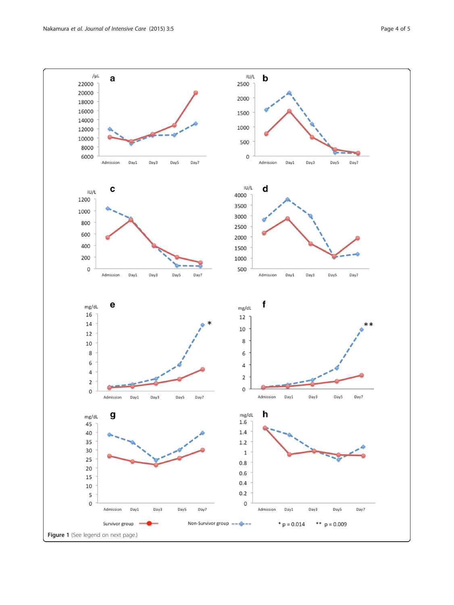